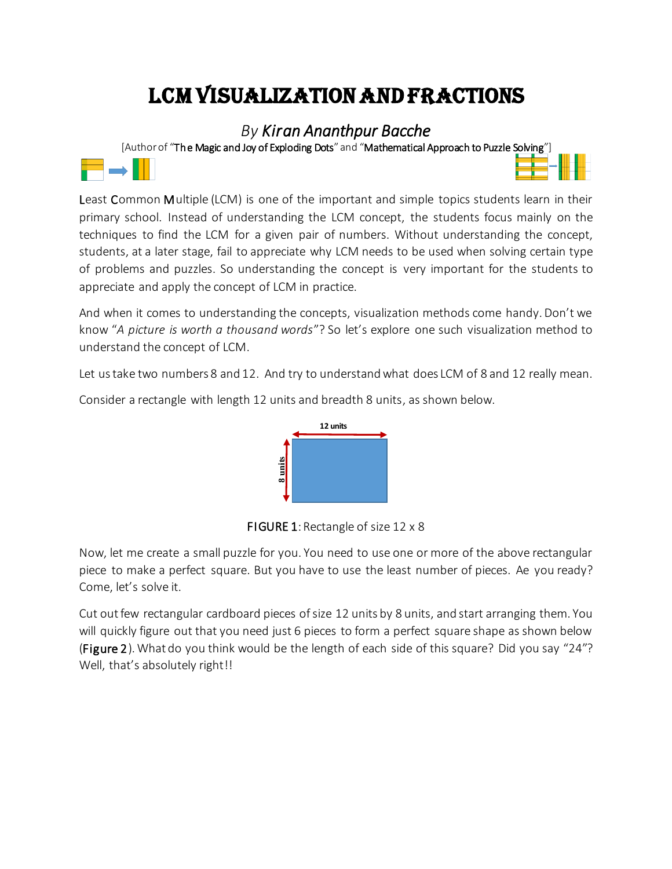## LCM Visualization and Fractions

*By Kiran Ananthpur Bacche*

[Author of "The Magic and Joy of Exploding Dots" and "Mathematical Approach to Puzzle Solving"]





Least Common Multiple (LCM) is one of the important and simple topics students learn in their primary school. Instead of understanding the LCM concept, the students focus mainly on the techniques to find the LCM for a given pair of numbers. Without understanding the concept, students, at a later stage, fail to appreciate why LCM needs to be used when solving certain type of problems and puzzles. So understanding the concept is very important for the students to appreciate and apply the concept of LCM in practice.

And when it comes to understanding the concepts, visualization methods come handy. Don't we know "*A picture is worth a thousand words*"? So let's explore one such visualization method to understand the concept of LCM.

Let us take two numbers 8 and 12. And try to understand what does LCM of 8 and 12 really mean.

Consider a rectangle with length 12 units and breadth 8 units, as shown below.



FIGURE 1: Rectangle of size 12 x 8

Now, let me create a small puzzle for you. You need to use one or more of the above rectangular piece to make a perfect square. But you have to use the least number of pieces. Ae you ready? Come, let's solve it.

Cut out few rectangular cardboard pieces of size 12 units by 8 units, and start arranging them. You will quickly figure out that you need just 6 pieces to form a perfect square shape as shown below (Figure 2). What do you think would be the length of each side of this square? Did you say "24"? Well, that's absolutely right!!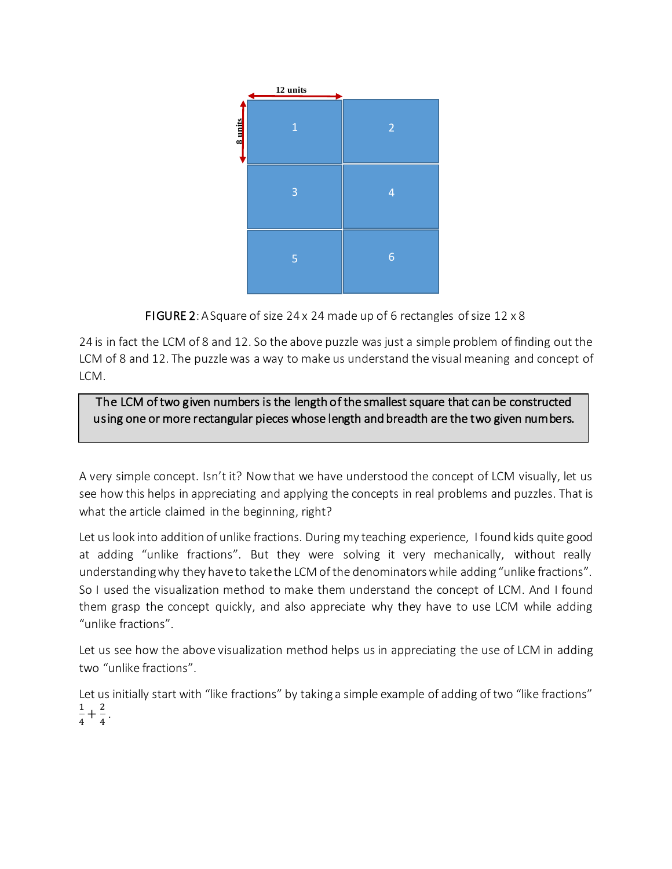

FIGURE 2: A Square of size 24 x 24 made up of 6 rectangles of size 12 x 8

24 is in fact the LCM of 8 and 12. So the above puzzle was just a simple problem of finding out the LCM of 8 and 12. The puzzle was a way to make us understand the visual meaning and concept of LCM.

## The LCM of two given numbers is the length of the smallest square that can be constructed using one or more rectangular pieces whose length and breadth are the two given numbers.

A very simple concept. Isn't it? Now that we have understood the concept of LCM visually, let us see how this helps in appreciating and applying the concepts in real problems and puzzles. That is what the article claimed in the beginning, right?

Let us look into addition of unlike fractions. During my teaching experience, I found kids quite good at adding "unlike fractions". But they were solving it very mechanically, without really understanding why they have to take the LCM of the denominators while adding "unlike fractions". So I used the visualization method to make them understand the concept of LCM. And I found them grasp the concept quickly, and also appreciate why they have to use LCM while adding "unlike fractions". FIGURE 2: A Square<br> **EXECURE 2:** A Square<br>
in fact the LCM of 8 and 12<br>
of 8 and 12. The puzzle wa<br> **e LCM of two given numbing one or more rectangular**<br> **e LCM of two given numbing one or more rectangular**<br>
y simple conce

Let us see how the above visualization method helps us in appreciating the use of LCM in adding two "unlike fractions".

Let us initially start with "like fractions" by taking a simple example of adding of two "like fractions" 1  $\frac{1}{4} + \frac{2}{4}$ 4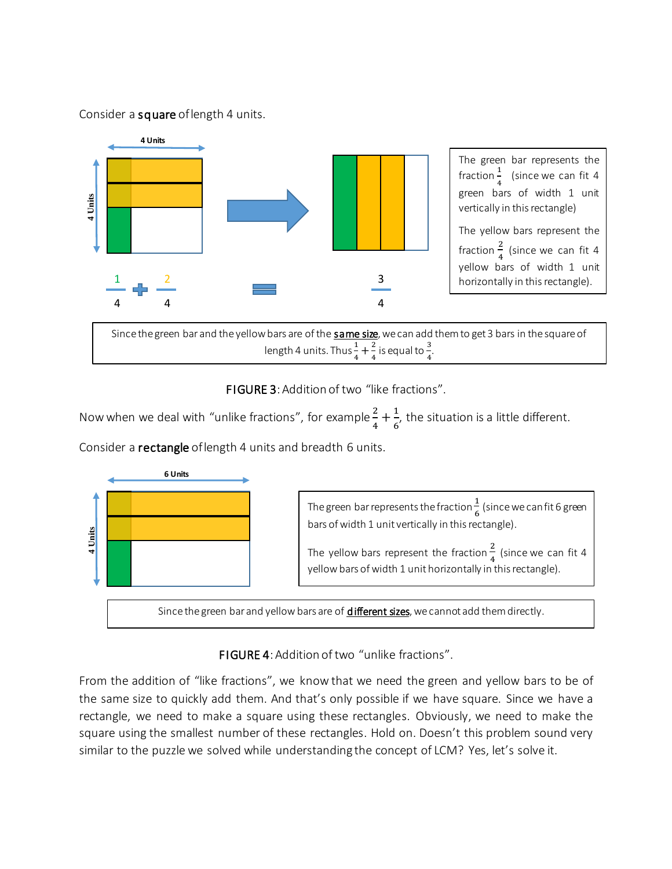## Consider a square of length 4 units.



FIGURE 3: Addition of two "like fractions".

Now when we deal with "unlike fractions", for example  $\frac{2}{4} + \frac{1}{6}$  $\frac{1}{6}$ , the situation is a little different.

Consider a rectangle of length 4 units and breadth 6 units.



## FIGURE 4: Addition of two "unlike fractions".

From the addition of "like fractions", we know that we need the green and yellow bars to be of the same size to quickly add them. And that's only possible if we have square. Since we have a rectangle, we need to make a square using these rectangles. Obviously, we need to make the square using the smallest number of these rectangles. Hold on. Doesn't this problem sound very